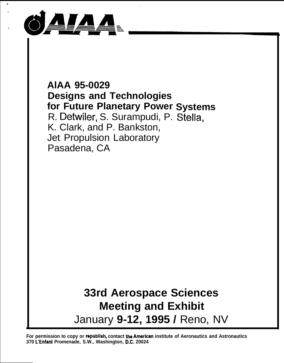

## **AlAA 95-0029 Designs and Technologies for Future Planetary Power Systems** R. Detwiler, S. Surampudi, P. Stella, K. Clark, and P. Bankston, Jet Propulsion Laboratory Pasadena, CA

# **33rd Aerospace Sciences Meeting and Exhibit** January **9-12, 1995 /** Reno, NV

**For permission to copy or rapubiish, contact tho Amerkan institute of Aeronautics and Astronautics 370 L'Enfant Promenade, S.W., Washington, D.C. 20024**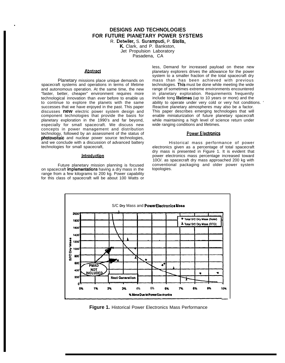### **DESIGNS AND TECHNOLOGIES FOR FUTURE PIANETARY POWER SYSTEMS**

R. Detwiler, S. Surampudi, P. Stella,

K, Clark, and P. Bankston, Jet Propulsion Laboratory

Pasadena, CA

#### **Abstract**

.

Planetary missions place unique demands on spacecraft systems and operations in terms of lifetime and autonomous operation. At the same time, the new "faster, better, cheaper" environment requires more technological innovation than ever before to enable us to continue to explore the planets with the same successes that we have enjoyed in the past. This paper discusses **new** electric power system design and component technologies that provide the basis for planetary exploration in the 1990's and far beyond, especially for small spacecraft. We discuss new concepts in power management and distribution technology, followed by an assessment of the status of photovoltaic and nuclear power source technologies, and we conclude with a discussion of advanced battery technologies for small spacecraft,

#### Introduction

Future planetary mission planning is focused on spacecraft **implementations** having a dry mass in the topologies. range from a few kilograms to 200 kg. Power capability for this class of spacecraft will be about 100 Watts or

less, Demand for increased payload on these new planetary explorers drives the allowance for the power system to a smaller fraction of the total spacecraft dry mass than has been achieved with previous technologies. This must be done while meeting the wide range of sometimes extreme environments encountered in planetary exploration. Requirements frequently include tong fifetimes (up to 10 years or more) and the ability to operate under very cold or very hot conditions. ' Reactive planetary atmospheres may also be a factor. This paper describes emerging technologies that will enable miniaturization of future planetary spacecraft while maintaining a high level of science return under wide ranging conditions and lifetimes.

#### **Power Electronics**

Historical mass performance of power electronics given as a percentage of total spacecraft dry mass is presented in Figure 1. It is evident that power electronics mass percentage increased toward 10O/. as spacecraft dry mass approached 200 kg with conventional packaging and older power system



**Figure 1.** Historical Power Electronics Mass Performance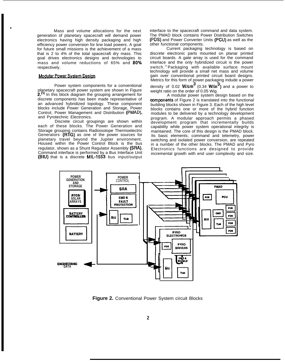Mass and volume allocations for the next generation of planetary spacecraft will demand power electronics having high density packaging and high efficiency power conversion for krw load powers. A goal for future small missions is the achievement of a mass that is 2 to 4% of the total spacecraft dry mass. This goal drives electronics designs and technologies to mass and volume reductions of 65% and 80% respectively.

#### **Modular Power System Design**

.

Power system components for a conventional planetary spacecraft power system are shown in Figure 2.<sup>(1)</sup> In this block diagram the grouping arrangement for discrete components has been made representative of an advanced hybridized topology. These component blocks include Power Generation and Storage, Power Control, Power Management and Distribution (PMAD), and Pyrotechnic Electronics.

Discrete circuit groupings are shown within each of these blocks. The Power Generation and Storage grouping contains Radioisotope Thermoelectric Generators (RTG) as one of the power sources for planetary travel beyond the Jupiter environment. Housed within the Power Control Block is the bus regulator, shown as a Shunt Regulator Assembly (SRA). Command interface is performed by a Bus Interface Unit (BIU) that is a discrete MIL-1553 bus input/output interface to the spacecraft command and data system. The PMAD block contains Power Distribution Switches (PDS) and Power Converter Units (PCU) as well as the other functional components.

Current packaging technology is based on discrete electronic parts mounted on planar printed circuit boards. A gate array is used for the command interlace and the only hybridized circuit is the power switch.<sup>(2)</sup> Packaging with available surface mount technology will provide a small net mass and volume gain over conventional printed circuit board designs. Metrics for this form of power packaging indude a power

density of 0.02  $W/cm$  (0.34  $W/n$ ) and a power to weight ratio on the order of 0.05 Wig.

A modular power system design based on the components of Figure 2 is translated into the functional building blocks shown in Figure 3. Each of the high level blocks contains one or more of the hybrid function modules to be delivered by a technology development program. A modular approach permits a phased development program that incrementally builds capability while power system operational integrity is maintained. The core of this design is the PMAD block. Its basic elements; command and telemetry, power switching and isolated power conversion, are repeated in a number of the other blocks. The PMAD and Pyro Electronics functions are designed to provide incremental growth with end user complexity and size.



**Figure 2.** Conventional Power System circuit Blocks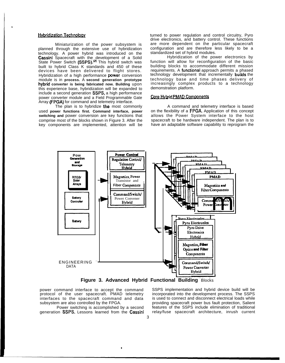#### **Hybridization Technology**

Miniaturization of the power subsystem is planned through the extensive use of hybridization technology. A power hybrid was introduced on the Cassini Spacecraft with the development of a Solid<br>State Power Switch (SSPS).<sup>(2)</sup> This hybrid switch was built to hybrid Class K standards and 450 of these devices have been delivered to flight stores. Hybridization of a high performance power conversion module is in process. A second generation prototype hybrid converter is being fabricated now. Building upon this experience base, hybridization will be expanded to include a second generation SSPS, a high performance power converter module and a Field Programmable Gate Array (FPGA) for command and telemetry interface.

The plan is to hybridize the most commonly used power functions first. Command interface, power switching and power conversion are key functions that comprise most of the blocks shown in Figure 3. After the key components are implemented, attention will be

turned to power regulation and control circuitry, Pyro drive electronics, and battery control. These functions are more dependent on the particular spacecraft configuration and are therefore less likely to be a standardized set of hybrid modules.

Hybridization of the power electronics by function will allow for reconfiguration of the basic building blocks to accommodate different mission requirements. A functional approach permits a phased technology development that incrementally builds the technology base and time phases delivery of increasingly complex products to a technology demonstration platform.

#### Core Hybrid PMAD Components

A command and telemetry interface is based on the flexibility of a FPGA. Application of this concept allows the Power System interface to the host spacecraft to be hardware independent. The plan is to have an adaptable software capability to reprogram the



Figure 3. Advanced Hybrid Functional Building Blocks

power command interface to accept the command protocol of the user spacecraft. PMAD telemetry interfaces to the spacecraft command and data subsystem are also controlled by the FPGA.

Power switching is accomplished by a second generation SSPS. Lessons learned from the Cassini SSPS implementation and hybrid device build will be incorporated into the development process. The SSPS is used to connect and disconnect electrical loads while providing spacecraft power bus fault protection, Salient<br>features of the SSPS include elimination of traditional relay/fuse spacecraft architecture, inrush current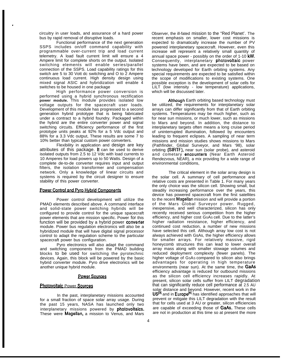circuitry in user loads, and assurance of a hard power bus by rapid removal of disruptive loads.

.

Functional performance of the next generation SSPS includes on/off command capability with programmable over-current trip and load current telemetry. A load fault current limit will ensure a 4 Ampere limit for complete shorts on the output. Isolated switching elements will enable series/parallel connection of the SSPS. Load capability ratings for this switch are 5 to 30 Vott dc switching and O to 2 Ampere continuous load current. High density design using mixed signal ASIC and hybridization will enable 4 switches to be housed in one package

High performance power conversion is performed using a hybrid synchronous rectification **power module.** This module provides isolated low voltage outputs for the spacecraft user loads. Development of this module has progressed to a second generation hybrid prototype that is being fabricated under a contract to a hybrid foundry. Packaged within the hybrid are the entire converter power and signal switching circuits. Efficiency performance of the first prototype units peaks at 92% for a 5 Vdc output and 88% for a 3.3 Vdc output, These results are some 7 to 10% better than typical custom power converters.

Flexibility in application and design are key attributes of this package. It can be used to derive isolated outputs from 2.5 to 12 Vdc with load currents to 10 Amperes for load powers up to 50 Watts. Design of a complete de-to-de converter requires input and output filters, the isolation transformer and compensation network. Only a knowledge of linear circuits and systems is required by the circuit designer to ensure stability of this power converter.

#### Power Control and Pyro Hybrid Components

Power control development will utilize the PMAD elements described above. A command interface and solid-state power switching hybrids will be configured to provide control for the unique spacecraft power elements that are mission specific. Power for this function will be provided by a hybrid power converter module. Power bus regulation electronics will also be a hybridized module that will have digital signal processor control to adapt the regulation scheme to the particular spacecraft power bus configuration.

Pyro electronics will also adapt the command and switching components from the PMAD building blocks to be used for switching the pyrotechnic devices. Again, this block will be powered by the basic hybrid converter module. Pyro drive electronics will be another unique hybrid module.

#### **Power Sources**

#### Photovoltaic Power Sources

In the past, interplanetary missions accounted for a small fraction of space solar array usage. During the past 15 years, NASA has launched only two interplanetary missions powered by **photovoltaics.** These were **Magellan**, a mission to Venus, and Mars Observer, the ill-fated mission to the "Red Planet'. The recent emphasis on smaller, lower cost missions is expected to dramatically increase the number of PV powered interplanetary spacecraft. However, even this increase will represent a relatively small quantity of annual space power - possibly on the order of 1-10 kW. Consequently, interplanetary photovoltaic power systems have been, and are expected to be based on technology developed for Earth orbiting systems. Any special requirements are expected to be satisfied within the scope of modifications to existing systems. One possible exception is the development of solar cells for LILT (low intensity - low temperature) applications, which will be discussed later.

Atthough Earth orbiting based technology must be utilized, the requirements for interplanetary solar arrays can differ significantly from that of Earth orbiting systems. Temperatures may be much higher, such as for near sun missions, or much lower, such as missions to Mars and beyond. In addition, the distance to interplanetary targets often means a long cruise period of uninterrupted illumination, followed by encounters leading to frequent eclipses. A sampling of near term missions and mission studies shows missions to Mars (Pathfinder, Global Surveyor, and Mars '98), solar orbiting (SIRTF), near sun (solar probe), and asteroid and cometary encounters (Near Earth Asteroid Rendezvous, NEAR), a mix providing for a wide range of environmental conditions,

The critical element in the solar array design is the solar cell. A summary of cell performance and relative costs are presented in Table 1. For many years the only choice was the silicon cell. Showing small, but steadily increasing performance over the years, this device has powered spacecraft from the first satellites to the recent Magellan mission and will provide a portion of the Mars Global Surveyor power. Rugged, inexpensive, and well characterized, silicon has only recently received serious competition from the higher efficiency, and higher cost GSAS cell. Due to the latter's higher radiation resistance, higher efficiency, and continued cost reduction, a number of new missions have selected this cell. Although array low cost is not always achieved with GsAs, the higher efficiency allows for smaller arrays. For relatively massive, rigid honeycomb structures this can lead to lower overall array mass along with smaller stowage volumes and reduced deployment complexity (fewer panels). The higher voltage of GSAS compared to silicon also brings advantages for operating in high temperature environments (near sun). At the same time, the  $GaAs$ efficiency advantage is reduced for outbound missions as the silicon cell efficiency increases rapidly. At present, silicon solar cells suffer from LILT degradation that can significantly reduce cell performance at 2.5 AU solar distance and beyond. However, recent work in the US<sup>[3]</sup> and in Europe<sup>re]</sup> has identified approaches that will prevent or mitigate this LILT degradation with the result that for cells used at 3 AU or greater, silicon efficiencies are capable of exceeding those of GaAs. These cells are not in production at this time so at present the more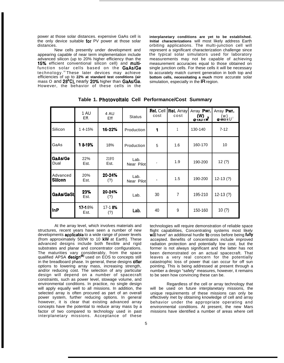power at those solar distances. expensive GaAs cell is the only device suitable **for** PV power at those solar distances.

New cells presently under development and appearing capable of near term implementation include advanced silicon (up to 20% higher efficiency than the 15% efficient conventional silicon cell) and multifunction solar cells based on the GaAs/Ge technology.®These later devices may achieve efficiencies of up to **22% at standard test conditions (air** mass O and 28°C), nearly 20% higher than GaAs/Ge. However, the behavior of these cells in the

**interplanetary conditions are yet to be established. Initial characterizations** will most likely address Earth orbiting applications. The multi-junction cell will represent a significant characterization challenge since the typical solar simulators used for laboratory measurements may not be capable of achieving measurement accuracies equal to those obtained on single junction cells. For these cells it will be necessary to accurately match current generation in both top and **bottom cells, necessitating a much** more accurate solar simulation, especially in the IR region.

|                     | 1 AU<br>Eff.   | 4 AU<br>Eff       | <b>Status</b>      | <b>Rel. Cell</b><br>cost | <b>Rel. Array</b><br>cost | Array Pwr.<br>$(W)$<br>$@1AU-1W$ | Array Pwr.<br>(w)<br>$@4AU.1U^2$ |
|---------------------|----------------|-------------------|--------------------|--------------------------|---------------------------|----------------------------------|----------------------------------|
| Silicon             | 14-15%         | 16-22%            | Production         | 1                        | 1                         | 130-140                          | $7 - 12$                         |
| GaAs                | 18-19%         | 18%               | Production         | 5                        | 1.6                       | 160-170                          | 10                               |
| GaAs/Ge<br>Dual     | 22%<br>Est.    | 219'0<br>Est.     | Lab.<br>Near Pilot | $\overline{7}$           | 1.9                       | 190-200                          | 12(?)                            |
| Advanced<br>Silicon | 20%<br>Est.    | $20 - 24%$<br>(?) | Lab.<br>Near Pilot | 3                        | 1.5                       | 190-200                          | $12-13(?)$                       |
| GaAs/GaSH           | 23%<br>Est.    | 20-24%<br>(?)     | Lab.               | 30                       | $\overline{7}$            | 195-210                          | $12-13(?)$                       |
| InP                 | 17-18%<br>Est. | 17-18%<br>(?)     | Lab.               | 40                       | 9                         | 150-160                          | 10(?)                            |

**Table 1. Photovoltalc Cell Performance/Cost Summary**

At the array level, which involves materials and technologies will require demonstration of reliable space<br>structures, recent years have seen a number of new flight capabilities, Concentrating systems most likely developments **applicable** to a wide range of power levels (from approximately 500W to 10 kW at Earth). These advanced designs include both flexible and rigid radiation protection and potentially low cost, but the substrates and planar and concentrator configurations. former is not always significant and the latter has not The maturities vary considerably, from the space been demonstrated on an actual spacecraft. That qualified APSA **design<sup>(s)</sup> us**ed on EOS to concepts still leaves a very real concern for the potentially in the breadboard phase. In general, these designs **offer** catastrophic loss of power that can occur for off sun options to lowering array mass, increasing strength, pointing. This is being addressed at present through a options to lowering array mass, increasing strength, pointing. This is being addressed at present through a and/or reducing cost. The selection of any particular number a design "safety" measures, however, it remains and/or reducing cost. The selection of any particular in umber a design "safety" measures, however, it remains<br>design will depend on a number of spacecraft to be seen how convincing these can be. design will depend on a number of spacecraft constraints, such as power level, stowage volume, and environmental conditions. In practice, no single design example are regardless of the cell or array technology that will apply equally well to all missions. In addition, the will be used on future interplanetary missions, will apply equally well to all missions. In addition, the selected array is often procured as part of an overall unique requirements of these missions can only be power system, further reducing options. In general effectively met by obtaining knowledge of cell and array however, it is clear that existing advanced array behavior under the appropriate operating and concepts have the potential to reduce array mass by a environmental conditions. At present, the new Mars factor of two compared to technology used in past interplanetary missions. Acceptance of these

flight capabilities, Concentrating systems most likely will have" an additional hurdle to cross before being fully accepted. Benefits of concentrators include improved former is not always significant and the latter has not been demonstrated on an actual spacecraft. That

environmental conditions. At present, the new Mars missions have identified a number of areas where cell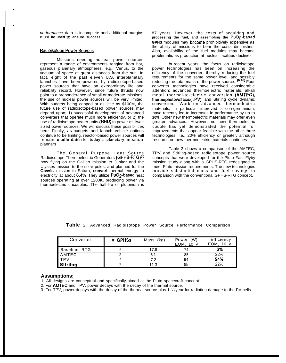performance data is incomplete and additional margins must **be used to ensure success.**

#### Radioisotope Power Sources

.

,

Missions needing nuclear power sources represent a range of environments ranging from hot, gaseous planetary atmospheres, e.g., Venus, to the vacuum of space at great distances from the sun. In fact, eight of the past eleven U.S. interplanetary launches have been powered by radioisotope-based power sources that have an extraordinary life and reliability record. However, since future thrusts now point to a preponderance of small or moderate missions, the use of nuclear power sources will be very limited. With budgets being capped at as little as \$100M, the future use of radioisotope-based power sources may depend upon; 1) successful development of advanced converters that operate much more efficiently, or 2) the use of radioisotope heater units (RHU) to power milliwatt sized power sources. We will discuss these possibilities here. Finally, as budgets and launch vehicle options continue to be limiting, reactor-based power sources will remain unaffordable for **today's planetary** mission planners

The General Purpose Heat Sourc<u>e</u> Radioisotope Thermoelectric Generators (GPHS-RTG)<sup>te</sup> now flying on the Galileo mission to Jupiter and the Ulysses mission to the solar poles, and planned for the Cassini mission to Saturn, convert thermal energy to electricity at about 6.4%. They utilize PuO2-based heat sources operating at over 1200K, producing power via thermoelectric uncouples. The half-life of plutonium is

87 years. However, the costs of acquiring and **processing the fuel, and assembling the Pu02-based GPHS** modules may become prohibitively expensive as the ability of missions to bear the costs diminishes. Also, availability of the fuel modules may become problematic as production at nuclear facilities declines,

In recent years, the focus on radioisotope power technologies has been on increasing the efficiency of the converter, thereby reducing the fuel requirements for the same power level, and possibly reducing the total mass of the power source. (9.10) Four converter technologies have received considerable attention: advanced thermoelectric materials, alkali metal thermal-to-electric conversion (AMTEC), thermophotovoltaics (TPV), and Stirling cycle dynamic conversion. Work on advanced thermoelectric materials, in particular improved silicon-germanium, have recently led to increases in performance by up to **20%.** Other new thermoelectric materials may offer even greater advances. However, no new thermoelectric couple has yet demonstrated the potential for improvements that appear feasible with the other three technologies, i.e., 20% efficiency or greater, although research on new thermoelectric materials continues.

Table 2 shows a comparison of the AMTEC, TPV and Stirling-based radioisotope power source concepts that were developed for the Pluto Fast Flyby mission study along with a GPHS-RTG redesigned to meet Pluto mission requirements. The new technologies provide substantial mass and fuel savings in comparison with the conventional GPHS-RTG concept.

| Converter       | # GPHSs | (kg)<br>Mass | (W)<br>Power<br>EOM.<br>10 | Efficiency<br>EOM.<br>10 |
|-----------------|---------|--------------|----------------------------|--------------------------|
| Baseline RTG    |         | 17.8         | 74                         | 6%                       |
| AMTEC           |         | 6.1          | 85                         | 22%                      |
| TPV             |         | 7.2          | 94                         | 24%                      |
| <b>Stirling</b> |         | 11.3         | 85                         | 22%                      |

**Table** 2. Advanced Radioisotope Power Source Performance Comparison

#### **Assumptions:**

1. All designs are conceptual and specifically aimed at the Pluto spacecraft concept.

2. For AMTEC and TPV, power decays with the decay of the thermal source.

3. For TPV, power decays with the decay of the thermal source plus 1 "/i/year for radiation damage to the PV cells.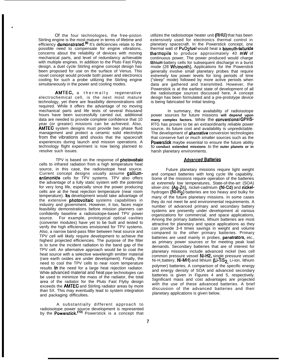Of the four technologies, the free-piston Stirling engine is the most mature in terms of lifetime and efficiency demonstrated.<sup>(9)</sup> It's deficiencies relate to the possible need to compensate for engine vibrations, concerns about the reliability of devices with moving mechanical parts, and level of redundancy achievable with multiple engines. In addition to the Pluto Fast Flyby design, a duel cycle Stirling engine concept design has been proposed for use on the surface of Venus. This novel concept would provide both power and electronics cooling for such a probe utilizing the Stirling engine simultaneously in the power and cooling modes.

.

**AMTEC, a thermally regenerative** electrochemical cell, is the next most mature technology, yet there are feasibility demonstrations still required. While it offers the advantage of no moving mechanical parts and life tests of several thousand hours have been successfully carried out, additional data are needed to provide complete confidence that 10 year (or greater) missions can be achieved. Also, **AMTEC** system designs must provide two phase fluid management and protect a ceramic solid electrolyte from the vibrations and shocks that the spacecraft experiences during launch and mission operations. A technology flight experiment is now being planned to resolve such issues.

TPV is based on the response of **photovoltaic** cells to infrared radiation from a high temperature heat source, in this case, the radioisotope heat source. Current concept designs usually assume galliumantimonide cells for TPV systems. TPV also offers the advantage of a fully static system with the potential for very long life, especially since the power producing cells are at the heat rejection temperature (near room temperature). Its development would take advantage of the extensive **photovoltaic** systems capabilities in industry and government. However, it too, faces major feasibility demonstrations before mission planners can confidently baseline a radioisotope-based TPV power source. For example, prototypical optical cavities (converter modules) have yet to be built and tested to verify the high efficiencies envisioned for TPV systems. Also, a narrow band-pass filter between heat source and TPV cell will likely require development to achieve the highest projected efficiencies. The purpose of the filter is to tune the incident radiation to the band gap of the TPV cell. An alternative approach would be to coat the heat source with a selective wavelength emitter material (rare earth oxides are under development). Finally, the need to cool the TPV cells to near room temperature results **in** the need for a large heat rejection radiator. While advanced material and heat pipe technologies can be used to minimize the mass of the radiator, the total area of the radiator for the Pluto Fast Flyby design exceeds the **AMTEC** and Stirling radiator areas by more than 5X. This may eventually lead to system integration and packaging difficulties.

A substantially different approach to radioisotope power source development is represented by the Powerstick.<sup>(13)</sup> Powerstick is a concept that

utilizes the radioisotope heater unit (RHU) that has been extensively used for electronics thermal control in planetary spacecraft. In the Powerstick concept, one thermal watt of PuO2fuel would heat a bismuth-telluride thermopile to produce approximately 40 mW of continuous power, The power produced would charge lithium battery cells for subsequent discharge in a burst mode (28 Wh/month). Applications for the Powerstick generally involve small planetary probes that require extremely low power levels for long periods of time ("sleep" mode) followed by more active periods when data are gathered and transmitted. However, the Powerstick is at the earliest state of development of all the radioisotope sources discussed here, A concept design has been formulated and a pre-prototype device is being fabricated for initial testing.

In summary, the availability of radioisotope power sources for future missions **will depend upon** many complex factors. While the conventional GPHS-RTG has proven to be an extraordinarily reliable power source, its future cost and availability is unpredictable. The development of **alternative** conversion technologies that conserve fuel or much smaller sources such as the **Powerstick** maybe essential to ensure the future ability to **conduct extended missions** to the **outer planets or in** harsh planetary environments.

#### **Advanced Batteries**

Future planetary missions require light weight and compact batteries with long cycle life capability. Some of the missions require operation of the batteries at extremely low temperatures, State-of-the-art (SOA) silver-zinc (Ag-Zn), nickel-cadmium (Ni-Cd) and nickelhydrogen (NI-H<sub>2</sub>) batteries are too heavy and bulky for many of the future planetary missions. In some cases they do not meet lie and environmental requirements. A number of advanced primary and secondary battery systems are presently under development at various organizations for commercial, and space applications, Among the primary batteries, lithium batteries are most attractive for planetary and space applications as they can provide 3-4 times savings in weight and volume compared to the other primary batteries. Primary batteries are used mainly in probes, penetrators, etc., as primary power sources or for meeting peak load demands. Secondary batteries that are of interest for planetary missions include advanced nickel (two cell common pressure vessel Ni-H2, single pressure vessel Ni-H<sub>2</sub> battery, Ni-MH) and lithium (Li-TiS<sub>2,</sub> Li-ion, lithium polymer) batteries, A comparison of the specific energy and energy density of SOA and advanced secondary batteries is given in Figures 4 and 5, respectively. Significant mass and cost advantages are projected with the use of these advanced batteries. A brief discussion of the advanced batteries and their planetary applications is given below.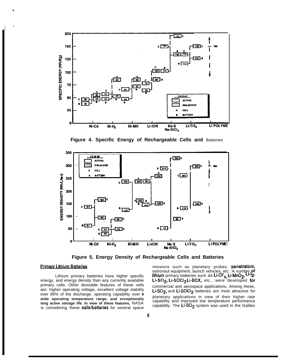

Figure 4. Specific Energy of Rechargeable Cells and Batteries



Figure 5. Energy Density of Rechargeable Cells and Batteries

#### **Primary Lithium Batteries**

Lithium primary batteries have higher specific energy, and energy density than any currently available primary cells. Other desirable features of these cells are: higher operating voltage, excellent voltage stability over 95% of the discharge, operating capability over 8 wide operating temperature range, and exceptionally long active storage life. In view of these features, NASA is considering these cells/batteries for several space

missions such as planetary probes, penetrators, astronaut equipment, launch vehicles, etc. 'A number of<br>lithium primary batteries such as Li-CF<sub>x, L</sub>i-MnO<sub>2</sub>, Li-12. Li-SO<sub>2</sub>, Li-SOCI<sub>2</sub> Li-BCX, etc., were developed for commercial and aerospace applications, Among these, Li-SO<sub>2</sub>, and Li-SOCI<sub>2</sub> batteries are most attractive for planetary applications in view of their higher rate capability and improved low temperature performance capability. The Li-SO<sub>2</sub> system was used in the Galileo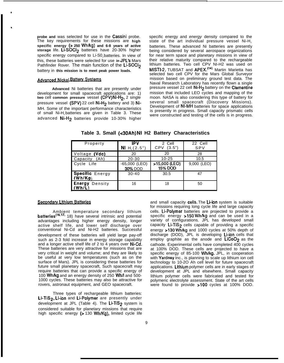**probe and** was selected for use in the Cassini probe. The key requirements for these missions are **high specific energy (> 250 Wh/kg) and 6-8 years of active storage** life. LLSOC12 batteries have 20-30% higher specific energy compared to Li-S0, batteries. In view of this, these batteries were selected for use **in JPL's** Mars rins, these batteries were selected for use in **prLs** Mars<br>Pathfinder Rover. The main function of the **Li-SOCI**<sub>2</sub><br>battery in this mission is to meet peak power loads.<br>Advanced Nickel Battery Systems battery in **this mission is to meet peak power loads.**

●

\*

**Advanced** Ni batteries that are presently under development for small spacecraft applications are: 1) **two** cell **common pressure** vessel (CPV) Ni-H2, 2 single pressure vessel (SPV) 22 cell Ni-H<sub>2</sub> battery and 3) Ni-MH. Some of the important performance characteristics of small Ni-H<sub>2</sub> batteries are given in Table 3. These advanced Ni-H<sub>2</sub> batteries provide 10-30% higher specific energy and energy density compared to the state of the art individual pressure vessel Ni-H<sub>2</sub> batteries. These advanced Ni batteries are presently being considered by several aerospace organizations for near term space and planetary missions in view of their relative maturity compared to the rechargeable lithium batteries. Two cell CPV NI-H2 was used on MISTI-2, TUBSAT and APEX.<sup>(14)</sup> Martin Marietta has selected two cell CPV for the Mars Global Surveyor mission based on preliminary ground test data. The Naval Research Laboratory has recently flown a single pressure vessel 22 cell Ni-H2 battery on the Clementine mission that included LEO cycles and mapping of the moon. NASA is also considering this type of battery for several small spacecraft (Discovery Missions). Development of NI-MH batteries for space applications is presently in progress. Small capacity prismatic cells were constructed and testing of the cells is in progress.

| Property               | IPV                             | 2 Cell        | 22 Cell     |
|------------------------|---------------------------------|---------------|-------------|
|                        | <b>NI</b> H <sub>2</sub> (2.5") | CPV (3.5")    | SPV         |
| Voltage (Vdc)          | 20                              | 20            | 28          |
| Capacity<br>(Ah)       | $20 - 30$                       | $10 - 25$     | 10.5        |
| Cycle Life             | $-65,000$ (LEO)                 | >15,000 (LEO) | 9,000 (LEO) |
|                        | 30% DOD                         | 15% DOD       |             |
| <b>Specific Energy</b> | $30 - 40$                       | 30.5          | 47          |
| $(\dot{W}h/Kg)$        |                                 |               |             |
| Energy<br>Density      | 16                              | 18            | 50          |
| (Wh/l)                 |                                 |               |             |

**Table 3. Small (<30Ah) NI H2 Battery Characteristics**

#### **Secondary Lithium Batteries**

Ambient temperature secondary lithium batteries<sup>(16,17,</sup> 18) have several intrinsic and potential advantages including higher energy density, longer active shelf life, and lower self discharge over conventional Ni-Cd and Ni-H2 batteries. Successful development of these batteries will yield large pay-off such as 2-3 fold increase in energy storage capability and a longer active shelf life of 2 to 4 years over Ni-Cd. These batteries are very attractive for missions that are very critical in weight and volume; and they are likely to be useful at very low temperatures (such as on the surface of Mars). JPL is considering these batteries for future small planetary spacecraft, Such spacecraft may require batteries that can provide a specific energy of 100 Wh/kg and an energy density of 250 Wh/1 and 500- 1000 cycles. These batteries may also be attractive for rovers, astronaut equipment, and GEO spacecraft.

Three types of rechargeable lithium batteries: Li-TiS<sub>2</sub>, Li-ion and Li-Polymer are presently under development at JPL (Table 4). The  $Li-TiS<sub>2</sub>$  system is considered suitable for planetary missions that require high specific energy (> 130 Wh/Kg), limited cycle life

and small capacity cells. The Li-ion system is suitable for missions requiring long cycle life and large capacity cells. Li-Polymer batteries are projected to provide a specific energy >150 Wh/kg and can be used in a variety of configurations. JPL has developed small capacity Li-TiS<sub>2</sub> cells capable of providing a specific energy >130 Wh/kg and 1000 cycles at 50% depth of discharge (DOD), JPL is developing Li-ion cells that employ graphite as the anode and  $LiCoO<sub>2</sub>$  as the cathode. Experimental cells have completed 400 cycles at 100% DOD. These cells are projected to have a specific energy of 85-100 Wh/kg. JPL, in cooperation with Yardney Inc., is planning to scale up lithium ion cell technology to 10-2O Ah cell level for future spacecraft applications. Lithium polymer cells are in early stages of development at JPL and elsewhere. Small capacity lithium polymer cells were fabricated and tested for polymeric electrolyte assessment. State of the art cells were found to provide >100 cycles at 100% DOD.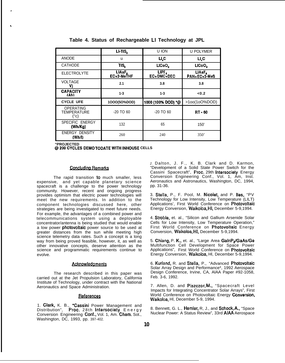|                                         | LI-TIS,                           | U ION              | <b>U POLYMER</b>     |  |
|-----------------------------------------|-----------------------------------|--------------------|----------------------|--|
| <b>ANODE</b>                            | u                                 | Ц.С                | $U_{\rm c}$          |  |
| <b>CATHODE</b>                          | TIS,                              | LICoO,             | LICoO,               |  |
| <b>ELECTROLYTE</b>                      | LIAsF,<br>EC <sub>+2</sub> -MeTHF | EC+DMC+DEC         | UASE<br>PAN+EC+3-MeS |  |
| <b>VOLTAGE</b><br>v                     | 2.1                               | 3.8                | 3.8                  |  |
| <b>CAPACITY</b><br>(Ah)                 | $1 - 3$                           | $1 - 3$            | < 0.2                |  |
| <b>CYCLE UFE</b>                        | 1000(50%DOD)                      | 1000 (100% DOD) *@ | >100(10O%DOD)        |  |
| OPERATING<br><b>TEMPERATURE</b><br>("c) | $-20$ TO 60                       | $-20$ TO 60        | RT - 60              |  |
| SPECIFIC ENERGY<br>(Wh/Kg)              | 132                               | 65                 | 150'                 |  |
| <b>ENERGY DENSITY</b><br>(Wh/l)         | 260                               | 240                | 350'                 |  |

|  |  |  | Table 4. Status of Rechargeable LI Technology at JPL |  |  |  |  |
|--|--|--|------------------------------------------------------|--|--|--|--|
|--|--|--|------------------------------------------------------|--|--|--|--|

**"PROJECTED @200CYCLESDEM0 TODATEWiTHINHOUSE CELLS**

#### **Concluding Remarks**

The rapid transition to much smaller, less expensive, and yet capable planetary science spacecraft is a challenge to the power technology community. However, recent and ongoing progress provides optimism that electric power technologies will meet the new requirements. In addition to the component technologies discussed here, other strategies are being investigated to meet future needs. For example, the advantages of a combined power and telecommunications system using a deployable concentrator/antenna is being studied that would enable a low power **photovoltaic** power source to be used at greater distances from the sun while meeting high science telemetry data rates. Such a concept is a long way from being proved feasible, however, it, as well as other innovative concepts, deserve attention as the science and programmatic requirements continue to evolve.

#### Acknowledaments

The research described in this paper was carried out at the Jet Propulsion Laboratory, California Institute of Technology, under contract with the National Aeronautics and Space Administration.

#### References

1. Clark, K. B., "Cassini Power Management and Distribution", Proc. 28th Intersociety Energy Conversion Engineering Conf., Vol. 1, Am. Chem. Sot., Washington, DC, 1993, pp. 397-402.

*2.* Dalton, J. F., K. B. Clark and D. Karmon, "Development of a Solid State Power Switch for the Cassini Spacecraft", Proc. 29th Intersociety Energy Conversion Engineering Conf., Vol. 1, Am, Inst. Aeronautics and Astronautics, Washington, DC, 1994, pp. 31-36.

3. Stella, P., F. Pool, M. Nicolet, and P. Iles, "PV Technology for Low Intensity, Low Temperature (LILT) Applications', First World Conference on Photovoltaic Energy Conversion, Waikoloa, Hl, December 5-9,1994.

4. Stroble, et. al., "Silicon and Gallium Arsenide Solar Cells for Low Intensity, Low Temperature Operation," First World Conference on Photovoltaic Energy Conversion, Waikoloa, Hl, December 5-9,1994.

5. Chiang, P. K., et. al., "Large Area GalnP<sub>2</sub>/GaAs/Ge Multifunction Cell Development for Space Power Applications", First World Conference on Photovoltaic Energy Conversion, Waikoloa, Hl, December 5-9,1994.

6. Kurland, R. and Stella, P., "Advanced Photovoltaic Solar Array Design and Performance\*, 1992 Aerospace Design Conference, Irvine, CA, AlAA Paper #92-1058, Feb. 3-6, 1992.

7. Allen, D. and Piszczor, M., "Spacecraft Level Impacts for Integrating Concentrator Solar Arrays", First World Conference on Photovoltaic Energy Conversion. Waikoloa, Hl, December 5-9, 1994.

8. Bennett, G. L., Hemler, R, J., and Schock, A,, "Space Nuclear Power: A Status Review", 33rd AIAA Aerospace